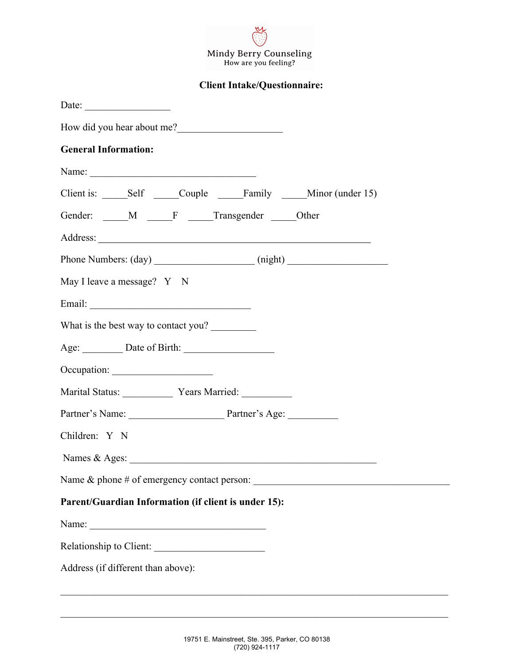

**Client Intake/Questionnaire:**

| Date:                                                                             |
|-----------------------------------------------------------------------------------|
| How did you hear about me?                                                        |
| <b>General Information:</b>                                                       |
| Name:                                                                             |
|                                                                                   |
| Gender: M F Transgender Other                                                     |
|                                                                                   |
| Phone Numbers: (day) ______________________(night) ______________________________ |
| May I leave a message? Y N                                                        |
|                                                                                   |
| What is the best way to contact you?                                              |
|                                                                                   |
| Occupation:                                                                       |
| Marital Status: Vears Married: __________                                         |
| Partner's Name: Partner's Age:                                                    |
| Children: Y N                                                                     |
| Names & Ages:                                                                     |
|                                                                                   |
| Parent/Guardian Information (if client is under 15):                              |
|                                                                                   |
| Relationship to Client:                                                           |
| Address (if different than above):                                                |
|                                                                                   |

 $\mathcal{L}_\mathcal{L} = \mathcal{L}_\mathcal{L} = \mathcal{L}_\mathcal{L} = \mathcal{L}_\mathcal{L} = \mathcal{L}_\mathcal{L} = \mathcal{L}_\mathcal{L} = \mathcal{L}_\mathcal{L} = \mathcal{L}_\mathcal{L} = \mathcal{L}_\mathcal{L} = \mathcal{L}_\mathcal{L} = \mathcal{L}_\mathcal{L} = \mathcal{L}_\mathcal{L} = \mathcal{L}_\mathcal{L} = \mathcal{L}_\mathcal{L} = \mathcal{L}_\mathcal{L} = \mathcal{L}_\mathcal{L} = \mathcal{L}_\mathcal{L}$ 

 $\mathcal{L}_\mathcal{L} = \mathcal{L}_\mathcal{L} = \mathcal{L}_\mathcal{L} = \mathcal{L}_\mathcal{L} = \mathcal{L}_\mathcal{L} = \mathcal{L}_\mathcal{L} = \mathcal{L}_\mathcal{L} = \mathcal{L}_\mathcal{L} = \mathcal{L}_\mathcal{L} = \mathcal{L}_\mathcal{L} = \mathcal{L}_\mathcal{L} = \mathcal{L}_\mathcal{L} = \mathcal{L}_\mathcal{L} = \mathcal{L}_\mathcal{L} = \mathcal{L}_\mathcal{L} = \mathcal{L}_\mathcal{L} = \mathcal{L}_\mathcal{L}$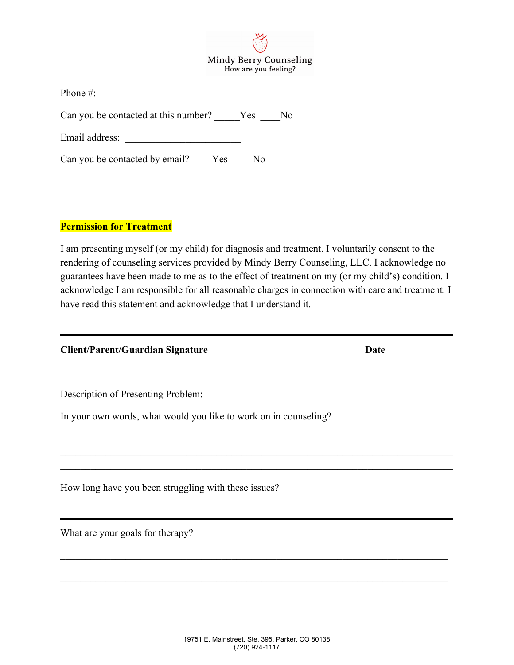\_\_\_\_\_\_\_\_\_\_\_\_\_\_\_\_\_\_\_\_\_\_\_\_\_\_\_\_\_\_\_\_\_\_\_\_\_\_\_\_\_\_\_\_\_\_\_\_\_\_\_\_\_\_\_\_\_\_\_\_\_\_\_\_\_\_\_\_\_\_\_\_\_\_\_\_\_

\_\_\_\_\_\_\_\_\_\_\_\_\_\_\_\_\_\_\_\_\_\_\_\_\_\_\_\_\_\_\_\_\_\_\_\_\_\_\_\_\_\_\_\_\_\_\_\_\_\_\_\_\_\_\_\_\_\_\_\_\_\_\_\_\_\_\_\_\_\_\_\_\_\_\_\_\_

|                                      |     | How are you feeling? |                |
|--------------------------------------|-----|----------------------|----------------|
| Phone $#$ :                          |     |                      |                |
| Can you be contacted at this number? |     | Yes                  | N <sub>0</sub> |
| Email address:                       |     |                      |                |
| Can you be contacted by email?       | Yes | N <sub>0</sub>       |                |

## **Permission for Treatment**

I am presenting myself (or my child) for diagnosis and treatment. I voluntarily consent to the rendering of counseling services provided by Mindy Berry Counseling, LLC. I acknowledge no guarantees have been made to me as to the effect of treatment on my (or my child's) condition. I acknowledge I am responsible for all reasonable charges in connection with care and treatment. I have read this statement and acknowledge that I understand it.

 $\mathcal{L}_\mathcal{L} = \{ \mathcal{L}_\mathcal{L} = \{ \mathcal{L}_\mathcal{L} = \{ \mathcal{L}_\mathcal{L} = \{ \mathcal{L}_\mathcal{L} = \{ \mathcal{L}_\mathcal{L} = \{ \mathcal{L}_\mathcal{L} = \{ \mathcal{L}_\mathcal{L} = \{ \mathcal{L}_\mathcal{L} = \{ \mathcal{L}_\mathcal{L} = \{ \mathcal{L}_\mathcal{L} = \{ \mathcal{L}_\mathcal{L} = \{ \mathcal{L}_\mathcal{L} = \{ \mathcal{L}_\mathcal{L} = \{ \mathcal{L}_\mathcal{$  $\mathcal{L}_\mathcal{L} = \{ \mathcal{L}_\mathcal{L} = \{ \mathcal{L}_\mathcal{L} = \{ \mathcal{L}_\mathcal{L} = \{ \mathcal{L}_\mathcal{L} = \{ \mathcal{L}_\mathcal{L} = \{ \mathcal{L}_\mathcal{L} = \{ \mathcal{L}_\mathcal{L} = \{ \mathcal{L}_\mathcal{L} = \{ \mathcal{L}_\mathcal{L} = \{ \mathcal{L}_\mathcal{L} = \{ \mathcal{L}_\mathcal{L} = \{ \mathcal{L}_\mathcal{L} = \{ \mathcal{L}_\mathcal{L} = \{ \mathcal{L}_\mathcal{$  $\mathcal{L}_\mathcal{L} = \mathcal{L}_\mathcal{L} = \mathcal{L}_\mathcal{L} = \mathcal{L}_\mathcal{L} = \mathcal{L}_\mathcal{L} = \mathcal{L}_\mathcal{L} = \mathcal{L}_\mathcal{L} = \mathcal{L}_\mathcal{L} = \mathcal{L}_\mathcal{L} = \mathcal{L}_\mathcal{L} = \mathcal{L}_\mathcal{L} = \mathcal{L}_\mathcal{L} = \mathcal{L}_\mathcal{L} = \mathcal{L}_\mathcal{L} = \mathcal{L}_\mathcal{L} = \mathcal{L}_\mathcal{L} = \mathcal{L}_\mathcal{L}$ 

**Client/Parent/Guardian Signature Date**

Description of Presenting Problem:

In your own words, what would you like to work on in counseling?

How long have you been struggling with these issues?

What are your goals for therapy?

Mindy Berry Counseling 7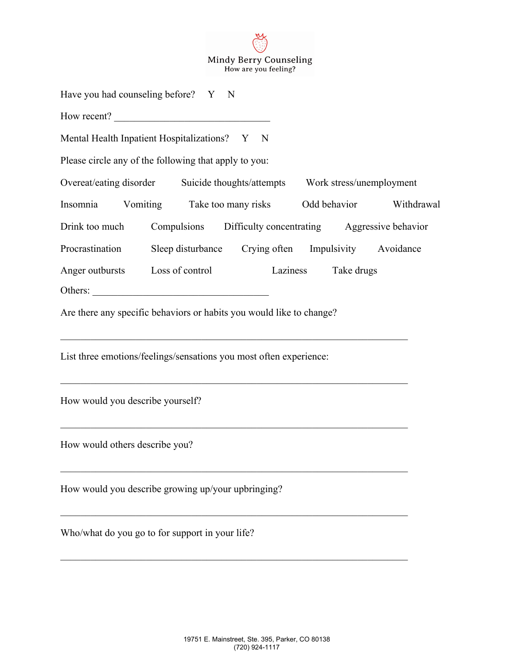Mindy Berry Counseling<br>How are you feeling?

M

| Have you had counseling before? Y N                                     |                                                      |             |                          |                         |
|-------------------------------------------------------------------------|------------------------------------------------------|-------------|--------------------------|-------------------------|
| How recent?                                                             |                                                      |             |                          |                         |
| Mental Health Inpatient Hospitalizations? Y                             |                                                      | $\mathbf N$ |                          |                         |
| Please circle any of the following that apply to you:                   |                                                      |             |                          |                         |
| Overeat/eating disorder Suicide thoughts/attempts                       |                                                      |             | Work stress/unemployment |                         |
| Insomnia                                                                | Vomiting Take too many risks                         |             |                          | Odd behavior Withdrawal |
| Drink too much Compulsions Difficulty concentrating Aggressive behavior |                                                      |             |                          |                         |
| Procrastination                                                         | Sleep disturbance Crying often Impulsivity Avoidance |             |                          |                         |
| Anger outbursts Loss of control                                         |                                                      |             | Laziness<br>Take drugs   |                         |
| Others:                                                                 |                                                      |             |                          |                         |
| Are there any specific behaviors or habits you would like to change?    |                                                      |             |                          |                         |
| List three emotions/feelings/sensations you most often experience:      |                                                      |             |                          |                         |
| How would you describe yourself?                                        |                                                      |             |                          |                         |
| How would others describe you?                                          |                                                      |             |                          |                         |
| How would you describe growing up/your upbringing?                      |                                                      |             |                          |                         |
| Who/what do you go to for support in your life?                         |                                                      |             |                          |                         |

 $\mathcal{L}_\mathcal{L} = \mathcal{L}_\mathcal{L} = \mathcal{L}_\mathcal{L} = \mathcal{L}_\mathcal{L} = \mathcal{L}_\mathcal{L} = \mathcal{L}_\mathcal{L} = \mathcal{L}_\mathcal{L} = \mathcal{L}_\mathcal{L} = \mathcal{L}_\mathcal{L} = \mathcal{L}_\mathcal{L} = \mathcal{L}_\mathcal{L} = \mathcal{L}_\mathcal{L} = \mathcal{L}_\mathcal{L} = \mathcal{L}_\mathcal{L} = \mathcal{L}_\mathcal{L} = \mathcal{L}_\mathcal{L} = \mathcal{L}_\mathcal{L}$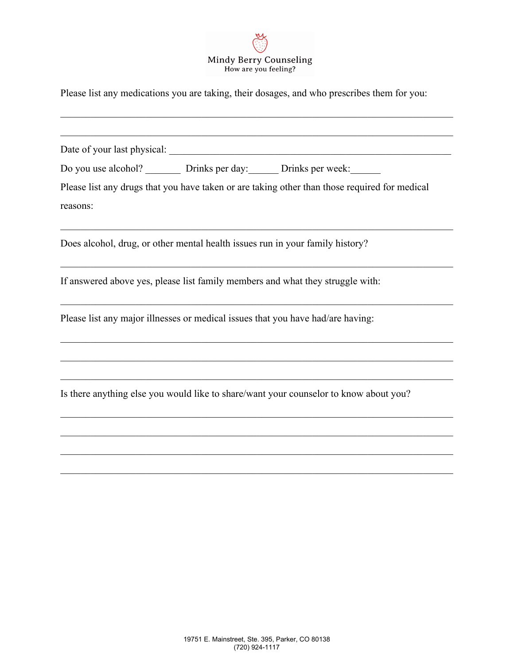

Please list any medications you are taking, their dosages, and who prescribes them for you:

| Date of your last physical:                                             | <u> 1989 - Johann Barbara, martxa alemaniar a</u>                                             |
|-------------------------------------------------------------------------|-----------------------------------------------------------------------------------------------|
| Do you use alcohol? __________ Drinks per day: _______ Drinks per week: |                                                                                               |
| reasons:                                                                | Please list any drugs that you have taken or are taking other than those required for medical |
|                                                                         | Does alcohol, drug, or other mental health issues run in your family history?                 |
|                                                                         | If answered above yes, please list family members and what they struggle with:                |
|                                                                         | Please list any major illnesses or medical issues that you have had/are having:               |
|                                                                         | Is there anything else you would like to share/want your counselor to know about you?         |
|                                                                         |                                                                                               |
|                                                                         |                                                                                               |